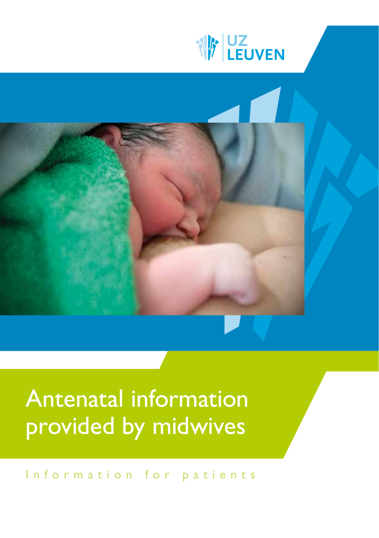



Information for patients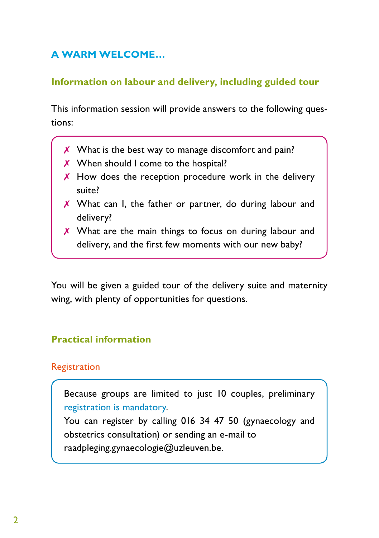## **A WARM WELCOME…**

## **Information on labour and delivery, including guided tour**

This information session will provide answers to the following questions:

- X What is the best way to manage discomfort and pain?
- ✗ When should I come to the hospital?
- $\chi$  How does the reception procedure work in the delivery suite?
- X What can I, the father or partner, do during labour and delivery?
- X What are the main things to focus on during labour and delivery, and the first few moments with our new baby?

You will be given a guided tour of the delivery suite and maternity wing, with plenty of opportunities for questions.

## **Practical information**

## Registration

Because groups are limited to just 10 couples, preliminary registration is mandatory.

You can register by calling 016 34 47 50 (gynaecology and obstetrics consultation) or sending an e-mail to raadpleging.gynaecologie@uzleuven.be.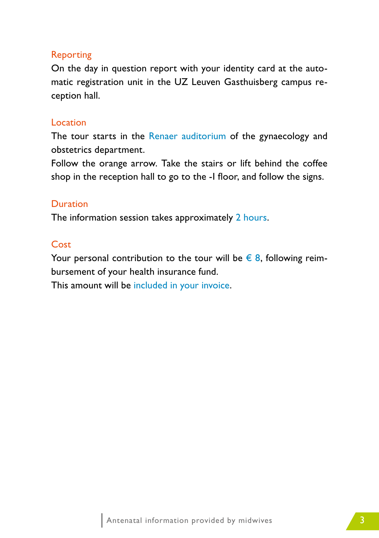#### Reporting

On the day in question report with your identity card at the automatic registration unit in the UZ Leuven Gasthuisberg campus reception hall.

#### **Location**

The tour starts in the Renaer auditorium of the gynaecology and obstetrics department.

Follow the orange arrow. Take the stairs or lift behind the coffee shop in the reception hall to go to the -I floor, and follow the signs.

#### Duration

The information session takes approximately 2 hours.

#### Cost

Your personal contribution to the tour will be  $\epsilon$  8, following reimbursement of your health insurance fund.

This amount will be included in your invoice.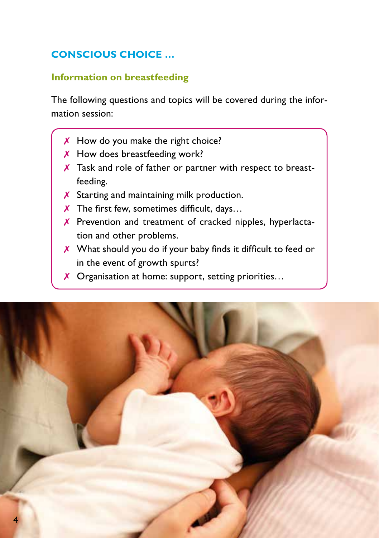## **CONSCIOUS CHOICE …**

## **Information on breastfeeding**

The following questions and topics will be covered during the information session:

- X How do you make the right choice?
- X How does breastfeeding work?
- ✗ Task and role of father or partner with respect to breastfeeding.
- ✗ Starting and maintaining milk production.
- $X$  The first few, sometimes difficult, days...
- ✗ Prevention and treatment of cracked nipples, hyperlactation and other problems.
- ✗ What should you do if your baby finds it difficult to feed or in the event of growth spurts?
- ✗ Organisation at home: support, setting priorities…

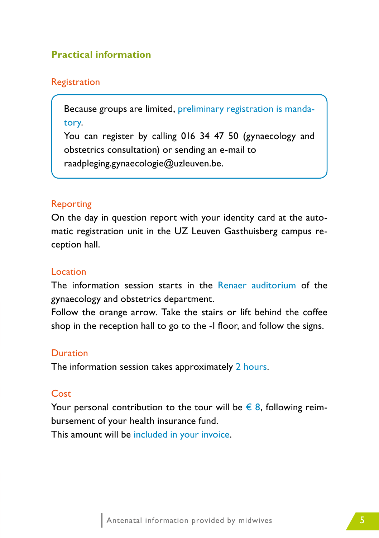## **Practical information**

## **Registration**

Because groups are limited, preliminary registration is mandatory.

You can register by calling 016 34 47 50 (gynaecology and obstetrics consultation) or sending an e-mail to raadpleging.gynaecologie@uzleuven.be.

## Reporting

On the day in question report with your identity card at the automatic registration unit in the UZ Leuven Gasthuisberg campus reception hall.

#### Location

The information session starts in the Renaer auditorium of the gynaecology and obstetrics department.

Follow the orange arrow. Take the stairs or lift behind the coffee shop in the reception hall to go to the -I floor, and follow the signs.

## Duration

The information session takes approximately 2 hours.

## **Cost**

Your personal contribution to the tour will be  $\epsilon$  8, following reimbursement of your health insurance fund.

This amount will be included in your invoice.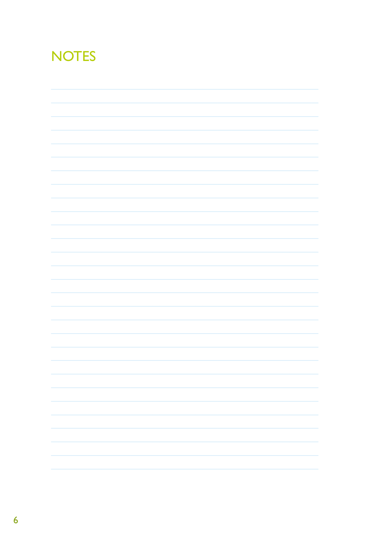# **NOTES**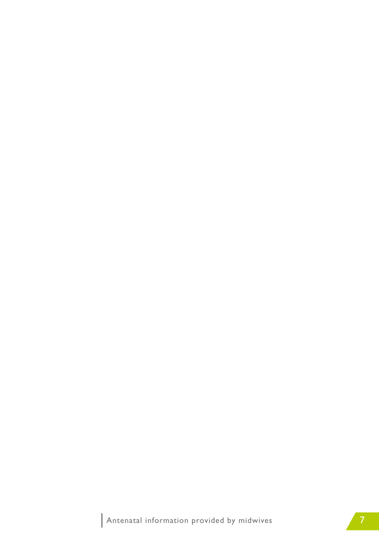Antenatal information provided by midwives  $\begin{pmatrix} 7 \end{pmatrix}$